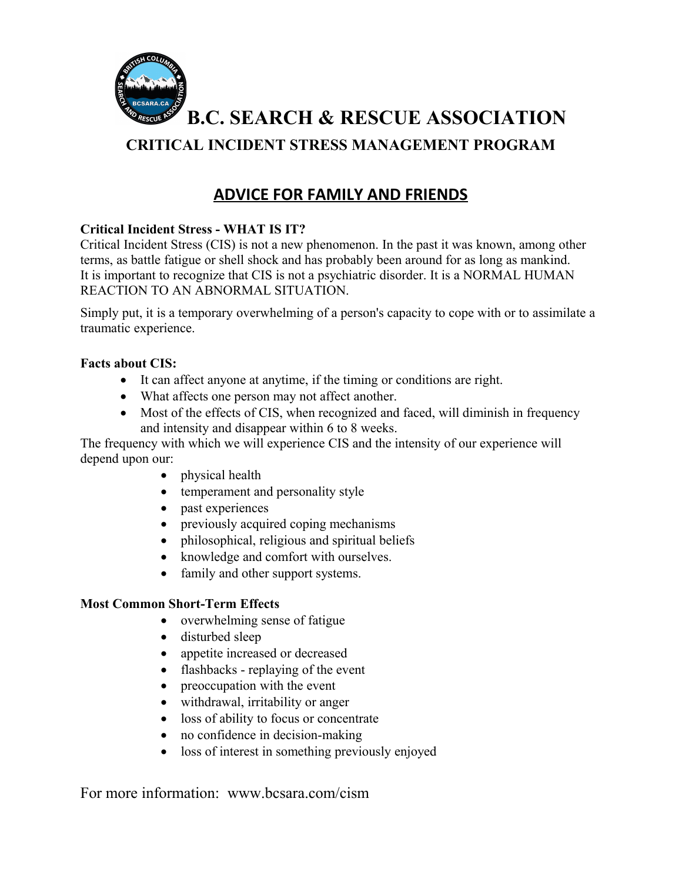

**B.C. SEARCH & RESCUE ASSOCIATION**

## **CRITICAL INCIDENT STRESS MANAGEMENT PROGRAM**

# **ADVICE FOR FAMILY AND FRIENDS**

## **Critical Incident Stress - WHAT IS IT?**

Critical Incident Stress (CIS) is not a new phenomenon. In the past it was known, among other terms, as battle fatigue or shell shock and has probably been around for as long as mankind. It is important to recognize that CIS is not a psychiatric disorder. It is a NORMAL HUMAN REACTION TO AN ABNORMAL SITUATION.

Simply put, it is a temporary overwhelming of a person's capacity to cope with or to assimilate a traumatic experience.

### **Facts about CIS:**

- It can affect anyone at anytime, if the timing or conditions are right.
- What affects one person may not affect another.
- Most of the effects of CIS, when recognized and faced, will diminish in frequency and intensity and disappear within 6 to 8 weeks.

The frequency with which we will experience CIS and the intensity of our experience will depend upon our:

- physical health
- temperament and personality style
- past experiences
- previously acquired coping mechanisms
- philosophical, religious and spiritual beliefs
- knowledge and comfort with ourselves.
- family and other support systems.

### **Most Common Short-Term Effects**

- overwhelming sense of fatigue
- disturbed sleep
- appetite increased or decreased
- flashbacks replaying of the event
- preoccupation with the event
- withdrawal, irritability or anger
- loss of ability to focus or concentrate
- no confidence in decision-making
- loss of interest in something previously enjoyed

For more information: www.bcsara.com/cism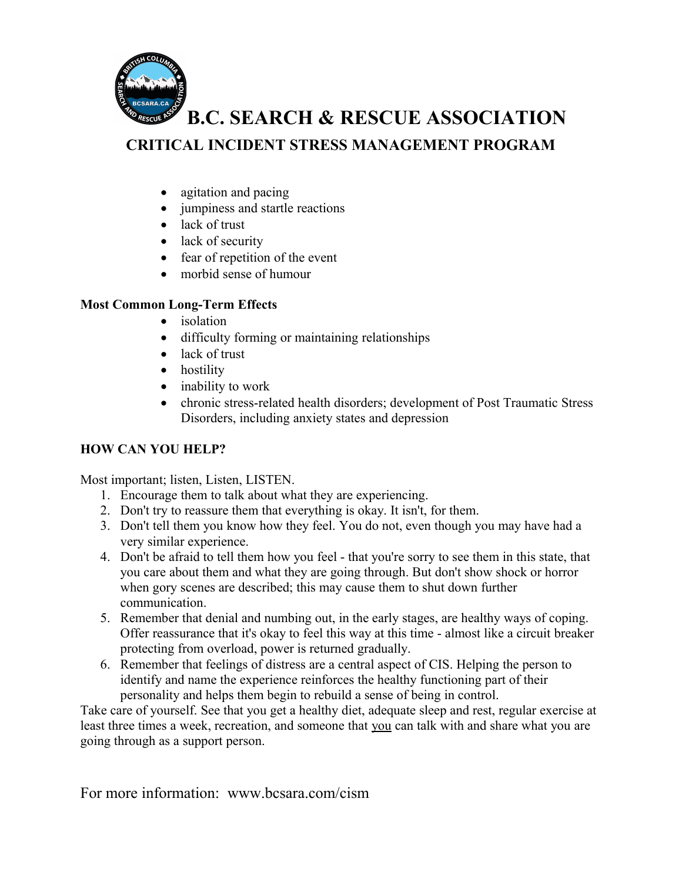

# **B.C. SEARCH & RESCUE ASSOCIATION**

## **CRITICAL INCIDENT STRESS MANAGEMENT PROGRAM**

- agitation and pacing
- jumpiness and startle reactions
- lack of trust
- lack of security
- fear of repetition of the event
- morbid sense of humour

### **Most Common Long-Term Effects**

- isolation
- difficulty forming or maintaining relationships
- lack of trust
- hostility
- inability to work
- chronic stress-related health disorders; development of Post Traumatic Stress Disorders, including anxiety states and depression

### **HOW CAN YOU HELP?**

Most important; listen, Listen, LISTEN.

- 1. Encourage them to talk about what they are experiencing.
- 2. Don't try to reassure them that everything is okay. It isn't, for them.
- 3. Don't tell them you know how they feel. You do not, even though you may have had a very similar experience.
- 4. Don't be afraid to tell them how you feel that you're sorry to see them in this state, that you care about them and what they are going through. But don't show shock or horror when gory scenes are described; this may cause them to shut down further communication.
- 5. Remember that denial and numbing out, in the early stages, are healthy ways of coping. Offer reassurance that it's okay to feel this way at this time - almost like a circuit breaker protecting from overload, power is returned gradually.
- 6. Remember that feelings of distress are a central aspect of CIS. Helping the person to identify and name the experience reinforces the healthy functioning part of their personality and helps them begin to rebuild a sense of being in control.

Take care of yourself. See that you get a healthy diet, adequate sleep and rest, regular exercise at least three times a week, recreation, and someone that you can talk with and share what you are going through as a support person.

For more information: www.bcsara.com/cism